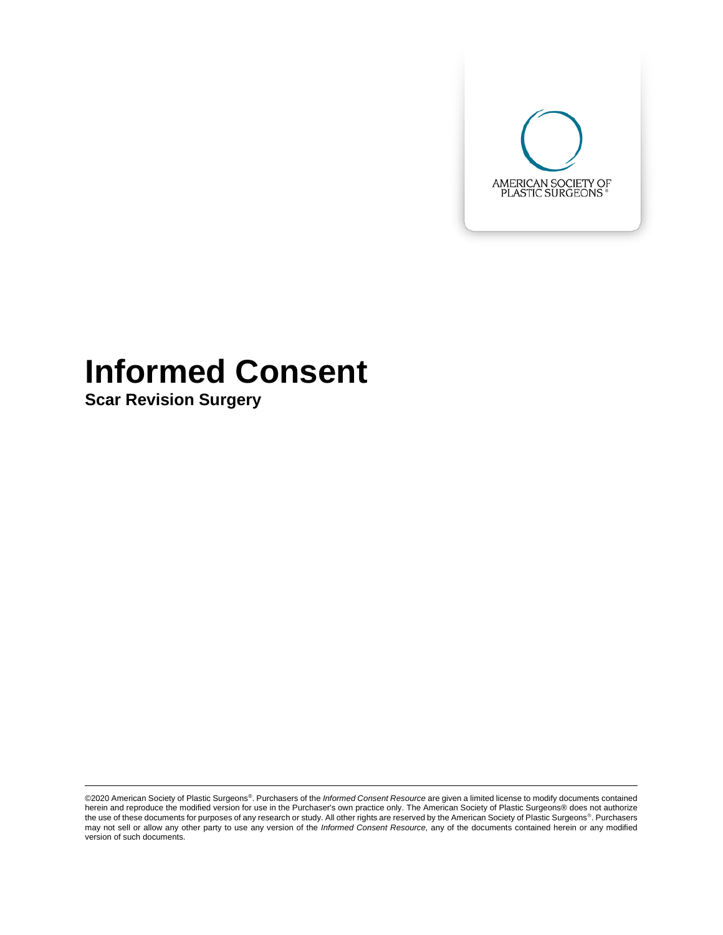

# **Informed Consent**

**Scar Revision Surgery**

©2020 American Society of Plastic Surgeons®. Purchasers of the *Informed Consent Resource* are given a limited license to modify documents contained herein and reproduce the modified version for use in the Purchaser's own practice only. The American Society of Plastic Surgeons® does not authorize the use of these documents for purposes of any research or study. All other rights are reserved by the American Society of Plastic Surgeons®. Purchasers may not sell or allow any other party to use any version of the *Informed Consent Resource,* any of the documents contained herein or any modified version of such documents.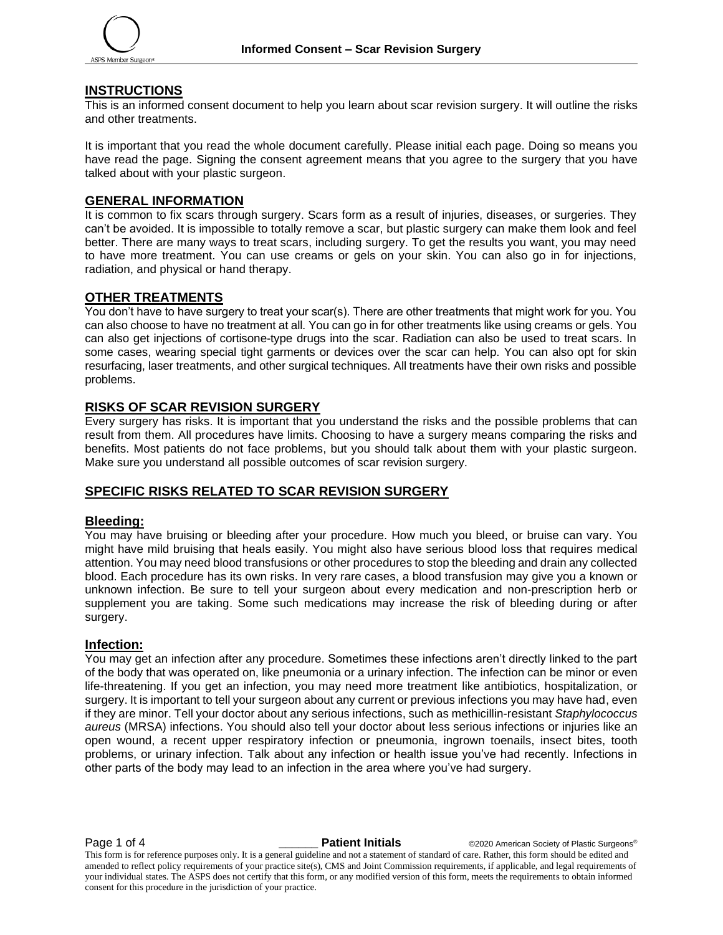

#### **INSTRUCTIONS**

This is an informed consent document to help you learn about scar revision surgery. It will outline the risks and other treatments.

It is important that you read the whole document carefully. Please initial each page. Doing so means you have read the page. Signing the consent agreement means that you agree to the surgery that you have talked about with your plastic surgeon.

#### **GENERAL INFORMATION**

It is common to fix scars through surgery. Scars form as a result of injuries, diseases, or surgeries. They can't be avoided. It is impossible to totally remove a scar, but plastic surgery can make them look and feel better. There are many ways to treat scars, including surgery. To get the results you want, you may need to have more treatment. You can use creams or gels on your skin. You can also go in for injections, radiation, and physical or hand therapy.

## **OTHER TREATMENTS**

You don't have to have surgery to treat your scar(s). There are other treatments that might work for you. You can also choose to have no treatment at all. You can go in for other treatments like using creams or gels. You can also get injections of cortisone-type drugs into the scar. Radiation can also be used to treat scars. In some cases, wearing special tight garments or devices over the scar can help. You can also opt for skin resurfacing, laser treatments, and other surgical techniques. All treatments have their own risks and possible problems.

#### **RISKS OF SCAR REVISION SURGERY**

Every surgery has risks. It is important that you understand the risks and the possible problems that can result from them. All procedures have limits. Choosing to have a surgery means comparing the risks and benefits. Most patients do not face problems, but you should talk about them with your plastic surgeon. Make sure you understand all possible outcomes of scar revision surgery.

#### **SPECIFIC RISKS RELATED TO SCAR REVISION SURGERY**

#### **Bleeding:**

You may have bruising or bleeding after your procedure. How much you bleed, or bruise can vary. You might have mild bruising that heals easily. You might also have serious blood loss that requires medical attention. You may need blood transfusions or other procedures to stop the bleeding and drain any collected blood. Each procedure has its own risks. In very rare cases, a blood transfusion may give you a known or unknown infection. Be sure to tell your surgeon about every medication and non-prescription herb or supplement you are taking. Some such medications may increase the risk of bleeding during or after surgery.

#### **Infection:**

You may get an infection after any procedure. Sometimes these infections aren't directly linked to the part of the body that was operated on, like pneumonia or a urinary infection. The infection can be minor or even life-threatening. If you get an infection, you may need more treatment like antibiotics, hospitalization, or surgery. It is important to tell your surgeon about any current or previous infections you may have had, even if they are minor. Tell your doctor about any serious infections, such as methicillin-resistant *Staphylococcus aureus* (MRSA) infections. You should also tell your doctor about less serious infections or injuries like an open wound, a recent upper respiratory infection or pneumonia, ingrown toenails, insect bites, tooth problems, or urinary infection. Talk about any infection or health issue you've had recently. Infections in other parts of the body may lead to an infection in the area where you've had surgery.

**Page 1 of 4 and COV COVERTS 2000 Patient Initials C2020** American Society of Plastic Surgeons®

This form is for reference purposes only. It is a general guideline and not a statement of standard of care. Rather, this form should be edited and amended to reflect policy requirements of your practice site(s), CMS and Joint Commission requirements, if applicable, and legal requirements of your individual states. The ASPS does not certify that this form, or any modified version of this form, meets the requirements to obtain informed consent for this procedure in the jurisdiction of your practice.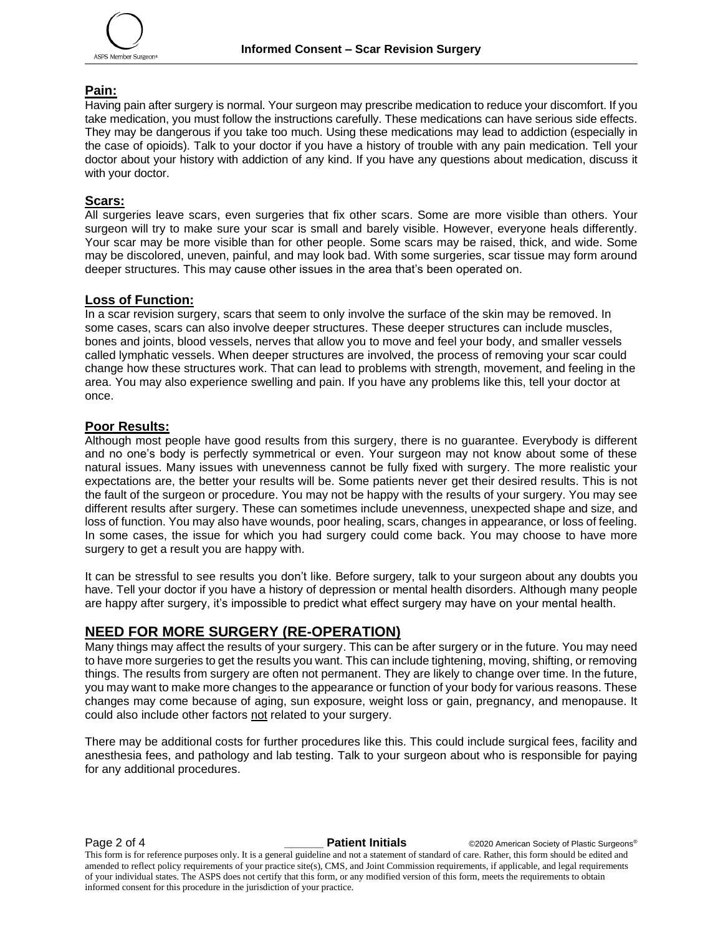#### **Pain:**

Having pain after surgery is normal. Your surgeon may prescribe medication to reduce your discomfort. If you take medication, you must follow the instructions carefully. These medications can have serious side effects. They may be dangerous if you take too much. Using these medications may lead to addiction (especially in the case of opioids). Talk to your doctor if you have a history of trouble with any pain medication. Tell your doctor about your history with addiction of any kind. If you have any questions about medication, discuss it with your doctor.

#### **Scars:**

All surgeries leave scars, even surgeries that fix other scars. Some are more visible than others. Your surgeon will try to make sure your scar is small and barely visible. However, everyone heals differently. Your scar may be more visible than for other people. Some scars may be raised, thick, and wide. Some may be discolored, uneven, painful, and may look bad. With some surgeries, scar tissue may form around deeper structures. This may cause other issues in the area that's been operated on.

#### **Loss of Function:**

In a scar revision surgery, scars that seem to only involve the surface of the skin may be removed. In some cases, scars can also involve deeper structures. These deeper structures can include muscles, bones and joints, blood vessels, nerves that allow you to move and feel your body, and smaller vessels called lymphatic vessels. When deeper structures are involved, the process of removing your scar could change how these structures work. That can lead to problems with strength, movement, and feeling in the area. You may also experience swelling and pain. If you have any problems like this, tell your doctor at once.

#### **Poor Results:**

Although most people have good results from this surgery, there is no guarantee. Everybody is different and no one's body is perfectly symmetrical or even. Your surgeon may not know about some of these natural issues. Many issues with unevenness cannot be fully fixed with surgery. The more realistic your expectations are, the better your results will be. Some patients never get their desired results. This is not the fault of the surgeon or procedure. You may not be happy with the results of your surgery. You may see different results after surgery. These can sometimes include unevenness, unexpected shape and size, and loss of function. You may also have wounds, poor healing, scars, changes in appearance, or loss of feeling. In some cases, the issue for which you had surgery could come back. You may choose to have more surgery to get a result you are happy with.

It can be stressful to see results you don't like. Before surgery, talk to your surgeon about any doubts you have. Tell your doctor if you have a history of depression or mental health disorders. Although many people are happy after surgery, it's impossible to predict what effect surgery may have on your mental health.

# **NEED FOR MORE SURGERY (RE-OPERATION)**

Many things may affect the results of your surgery. This can be after surgery or in the future. You may need to have more surgeries to get the results you want. This can include tightening, moving, shifting, or removing things. The results from surgery are often not permanent. They are likely to change over time. In the future, you may want to make more changes to the appearance or function of your body for various reasons. These changes may come because of aging, sun exposure, weight loss or gain, pregnancy, and menopause. It could also include other factors not related to your surgery.

There may be additional costs for further procedures like this. This could include surgical fees, facility and anesthesia fees, and pathology and lab testing. Talk to your surgeon about who is responsible for paying for any additional procedures.

**Page 2 of 4** *Letters Corporate Corporate Corporate Letters Corporate Corporate Corporate Corporate Corporate Corporate Corporate Corporate Corporate Corporate Corporate Corporate Corporate Corporate Corporate Corporate* 

This form is for reference purposes only. It is a general guideline and not a statement of standard of care. Rather, this form should be edited and amended to reflect policy requirements of your practice site(s), CMS, and Joint Commission requirements, if applicable, and legal requirements of your individual states. The ASPS does not certify that this form, or any modified version of this form, meets the requirements to obtain informed consent for this procedure in the jurisdiction of your practice.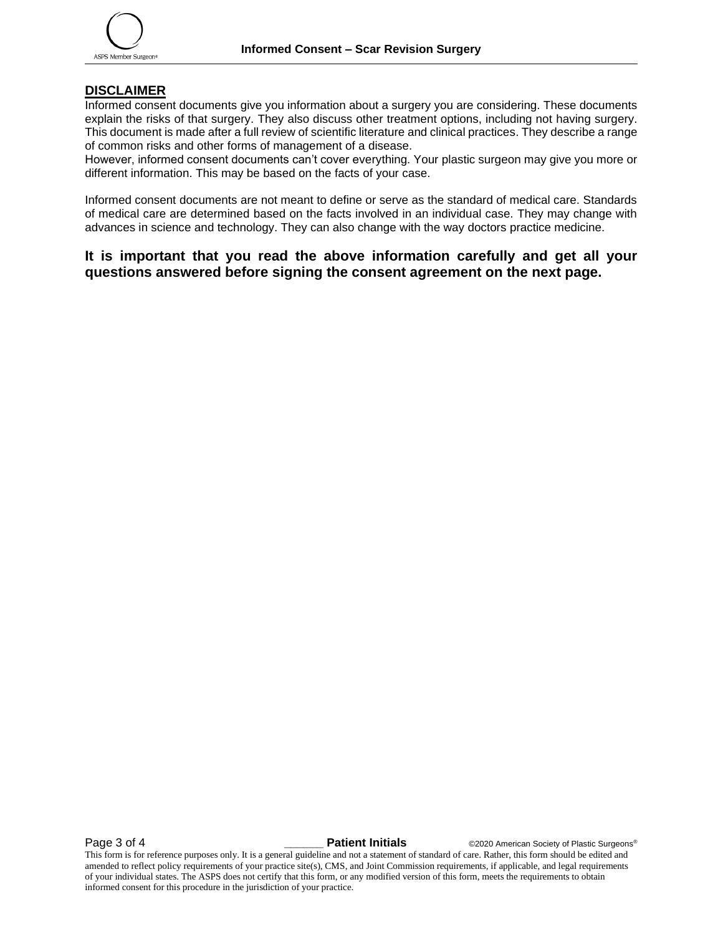## **DISCLAIMER**

Informed consent documents give you information about a surgery you are considering. These documents explain the risks of that surgery. They also discuss other treatment options, including not having surgery. This document is made after a full review of scientific literature and clinical practices. They describe a range of common risks and other forms of management of a disease.

However, informed consent documents can't cover everything. Your plastic surgeon may give you more or different information. This may be based on the facts of your case.

Informed consent documents are not meant to define or serve as the standard of medical care. Standards of medical care are determined based on the facts involved in an individual case. They may change with advances in science and technology. They can also change with the way doctors practice medicine.

# **It is important that you read the above information carefully and get all your questions answered before signing the consent agreement on the next page.**

**Page 3 of 4 and COV COVERTY COVERTY Partient Initials C2020** American Society of Plastic Surgeons® This form is for reference purposes only. It is a general guideline and not a statement of standard of care. Rather, this form should be edited and amended to reflect policy requirements of your practice site(s), CMS, and Joint Commission requirements, if applicable, and legal requirements of your individual states. The ASPS does not certify that this form, or any modified version of this form, meets the requirements to obtain informed consent for this procedure in the jurisdiction of your practice.